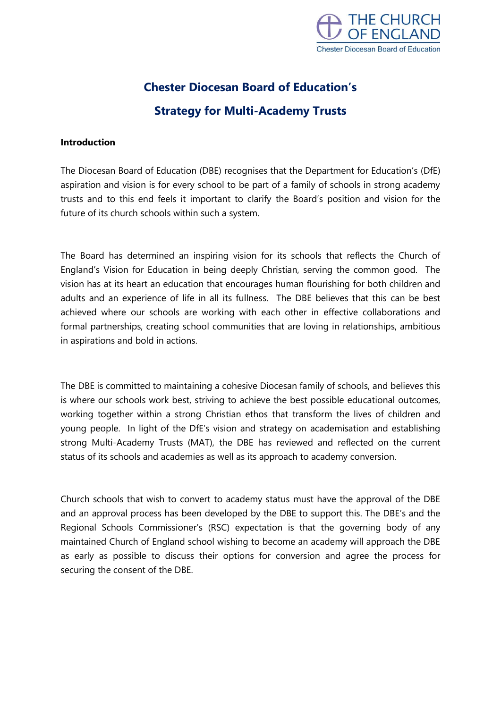

# **Chester Diocesan Board of Education's Strategy for Multi-Academy Trusts**

## **Introduction**

The Diocesan Board of Education (DBE) recognises that the Department for Education's (DfE) aspiration and vision is for every school to be part of a family of schools in strong academy trusts and to this end feels it important to clarify the Board's position and vision for the future of its church schools within such a system.

The Board has determined an inspiring vision for its schools that reflects the Church of England's Vision for Education in being deeply Christian, serving the common good. The vision has at its heart an education that encourages human flourishing for both children and adults and an experience of life in all its fullness. The DBE believes that this can be best achieved where our schools are working with each other in effective collaborations and formal partnerships, creating school communities that are loving in relationships, ambitious in aspirations and bold in actions.

The DBE is committed to maintaining a cohesive Diocesan family of schools, and believes this is where our schools work best, striving to achieve the best possible educational outcomes, working together within a strong Christian ethos that transform the lives of children and young people. In light of the DfE's vision and strategy on academisation and establishing strong Multi-Academy Trusts (MAT), the DBE has reviewed and reflected on the current status of its schools and academies as well as its approach to academy conversion.

Church schools that wish to convert to academy status must have the approval of the DBE and an approval process has been developed by the DBE to support this. The DBE's and the Regional Schools Commissioner's (RSC) expectation is that the governing body of any maintained Church of England school wishing to become an academy will approach the DBE as early as possible to discuss their options for conversion and agree the process for securing the consent of the DBE.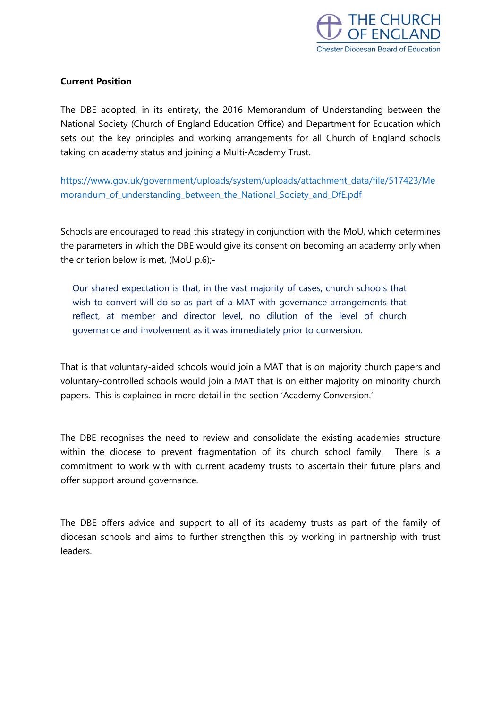

## **Current Position**

The DBE adopted, in its entirety, the 2016 Memorandum of Understanding between the National Society (Church of England Education Office) and Department for Education which sets out the key principles and working arrangements for all Church of England schools taking on academy status and joining a Multi-Academy Trust.

[https://www.gov.uk/government/uploads/system/uploads/attachment\\_data/file/517423/Me](https://www.gov.uk/government/uploads/system/uploads/attachment_data/file/517423/Memorandum_of_understanding_between_the_National_Society_and_DfE.pdf) morandum of understanding between the National Society and DfE.pdf

Schools are encouraged to read this strategy in conjunction with the MoU, which determines the parameters in which the DBE would give its consent on becoming an academy only when the criterion below is met, (MoU p.6);-

Our shared expectation is that, in the vast majority of cases, church schools that wish to convert will do so as part of a MAT with governance arrangements that reflect, at member and director level, no dilution of the level of church governance and involvement as it was immediately prior to conversion.

That is that voluntary-aided schools would join a MAT that is on majority church papers and voluntary-controlled schools would join a MAT that is on either majority on minority church papers. This is explained in more detail in the section 'Academy Conversion.'

The DBE recognises the need to review and consolidate the existing academies structure within the diocese to prevent fragmentation of its church school family. There is a commitment to work with with current academy trusts to ascertain their future plans and offer support around governance.

The DBE offers advice and support to all of its academy trusts as part of the family of diocesan schools and aims to further strengthen this by working in partnership with trust leaders.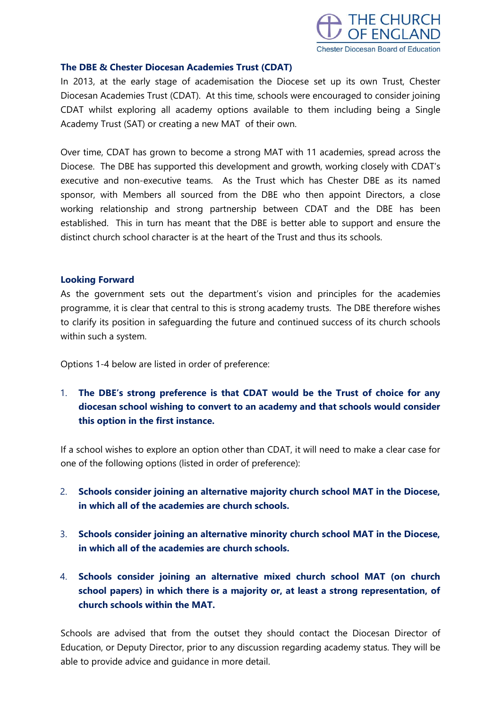

#### **The DBE & Chester Diocesan Academies Trust (CDAT)**

In 2013, at the early stage of academisation the Diocese set up its own Trust, Chester Diocesan Academies Trust (CDAT). At this time, schools were encouraged to consider joining CDAT whilst exploring all academy options available to them including being a Single Academy Trust (SAT) or creating a new MAT of their own.

Over time, CDAT has grown to become a strong MAT with 11 academies, spread across the Diocese. The DBE has supported this development and growth, working closely with CDAT's executive and non-executive teams. As the Trust which has Chester DBE as its named sponsor, with Members all sourced from the DBE who then appoint Directors, a close working relationship and strong partnership between CDAT and the DBE has been established. This in turn has meant that the DBE is better able to support and ensure the distinct church school character is at the heart of the Trust and thus its schools.

#### **Looking Forward**

As the government sets out the department's vision and principles for the academies programme, it is clear that central to this is strong academy trusts. The DBE therefore wishes to clarify its position in safeguarding the future and continued success of its church schools within such a system.

Options 1-4 below are listed in order of preference:

1. **The DBE's strong preference is that CDAT would be the Trust of choice for any diocesan school wishing to convert to an academy and that schools would consider this option in the first instance.**

If a school wishes to explore an option other than CDAT, it will need to make a clear case for one of the following options (listed in order of preference):

- 2. **Schools consider joining an alternative majority church school MAT in the Diocese, in which all of the academies are church schools.**
- 3. **Schools consider joining an alternative minority church school MAT in the Diocese, in which all of the academies are church schools.**
- 4. **Schools consider joining an alternative mixed church school MAT (on church school papers) in which there is a majority or, at least a strong representation, of church schools within the MAT.**

Schools are advised that from the outset they should contact the Diocesan Director of Education, or Deputy Director, prior to any discussion regarding academy status. They will be able to provide advice and guidance in more detail.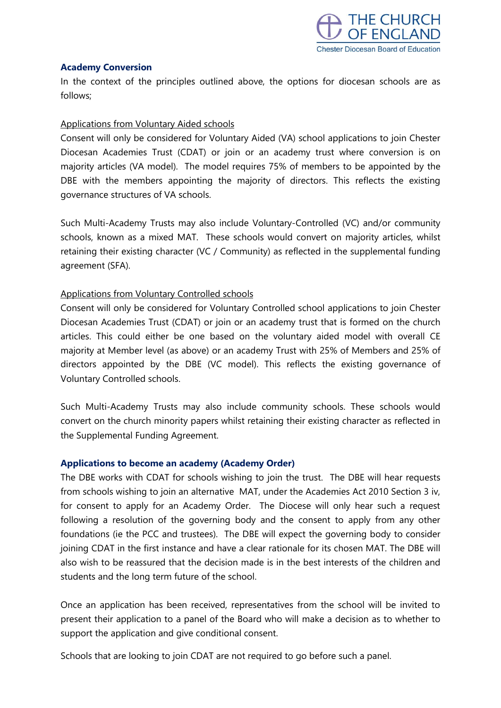

### **Academy Conversion**

In the context of the principles outlined above, the options for diocesan schools are as follows;

## Applications from Voluntary Aided schools

Consent will only be considered for Voluntary Aided (VA) school applications to join Chester Diocesan Academies Trust (CDAT) or join or an academy trust where conversion is on majority articles (VA model). The model requires 75% of members to be appointed by the DBE with the members appointing the majority of directors. This reflects the existing governance structures of VA schools.

Such Multi-Academy Trusts may also include Voluntary-Controlled (VC) and/or community schools, known as a mixed MAT. These schools would convert on majority articles, whilst retaining their existing character (VC / Community) as reflected in the supplemental funding agreement (SFA).

# Applications from Voluntary Controlled schools

Consent will only be considered for Voluntary Controlled school applications to join Chester Diocesan Academies Trust (CDAT) or join or an academy trust that is formed on the church articles. This could either be one based on the voluntary aided model with overall CE majority at Member level (as above) or an academy Trust with 25% of Members and 25% of directors appointed by the DBE (VC model). This reflects the existing governance of Voluntary Controlled schools.

Such Multi-Academy Trusts may also include community schools. These schools would convert on the church minority papers whilst retaining their existing character as reflected in the Supplemental Funding Agreement.

### **Applications to become an academy (Academy Order)**

The DBE works with CDAT for schools wishing to join the trust. The DBE will hear requests from schools wishing to join an alternative MAT, under the Academies Act 2010 Section 3 iv, for consent to apply for an Academy Order. The Diocese will only hear such a request following a resolution of the governing body and the consent to apply from any other foundations (ie the PCC and trustees). The DBE will expect the governing body to consider joining CDAT in the first instance and have a clear rationale for its chosen MAT. The DBE will also wish to be reassured that the decision made is in the best interests of the children and students and the long term future of the school.

Once an application has been received, representatives from the school will be invited to present their application to a panel of the Board who will make a decision as to whether to support the application and give conditional consent.

Schools that are looking to join CDAT are not required to go before such a panel.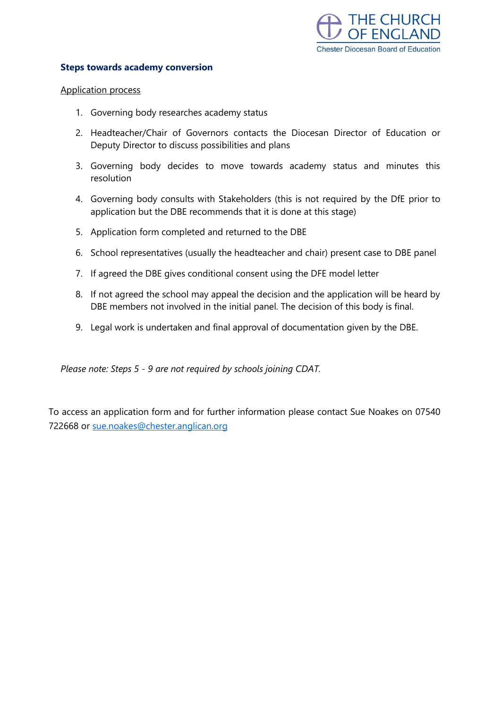

#### **Steps towards academy conversion**

#### Application process

- 1. Governing body researches academy status
- 2. Headteacher/Chair of Governors contacts the Diocesan Director of Education or Deputy Director to discuss possibilities and plans
- 3. Governing body decides to move towards academy status and minutes this resolution
- 4. Governing body consults with Stakeholders (this is not required by the DfE prior to application but the DBE recommends that it is done at this stage)
- 5. Application form completed and returned to the DBE
- 6. School representatives (usually the headteacher and chair) present case to DBE panel
- 7. If agreed the DBE gives conditional consent using the DFE model letter
- 8. If not agreed the school may appeal the decision and the application will be heard by DBE members not involved in the initial panel. The decision of this body is final.
- 9. Legal work is undertaken and final approval of documentation given by the DBE.

*Please note: Steps 5 - 9 are not required by schools joining CDAT.*

To access an application form and for further information please contact Sue Noakes on 07540 722668 or [sue.noakes@chester.anglican.org](mailto:sue.noakes@chester.anglican.org)